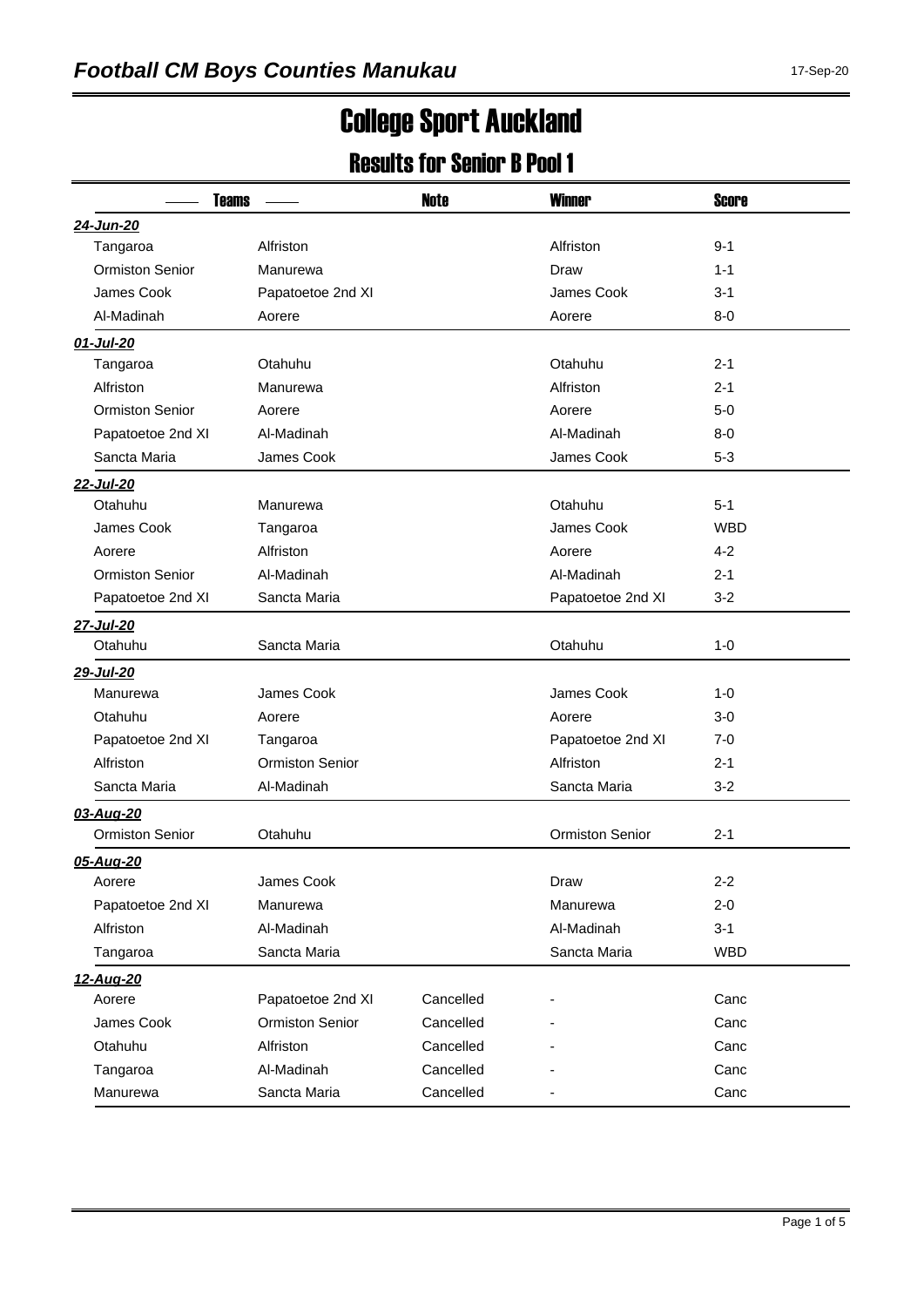## College Sport Auckland

## Results for Senior B Pool 1

| <b>Teams</b>           |                        | <b>Note</b> | <b>Winner</b>          | <b>Score</b> |  |
|------------------------|------------------------|-------------|------------------------|--------------|--|
| 24-Jun-20              |                        |             |                        |              |  |
| Tangaroa               | Alfriston              |             | Alfriston              | $9 - 1$      |  |
| <b>Ormiston Senior</b> | Manurewa               |             | Draw                   | $1 - 1$      |  |
| James Cook             | Papatoetoe 2nd XI      |             | James Cook             | 3-1          |  |
| Al-Madinah             | Aorere                 |             | Aorere                 | $8-0$        |  |
| 01-Jul-20              |                        |             |                        |              |  |
| Tangaroa               | Otahuhu                |             | Otahuhu                | $2 - 1$      |  |
| Alfriston              | Manurewa               |             | Alfriston              | $2 - 1$      |  |
| <b>Ormiston Senior</b> | Aorere                 |             | Aorere                 | $5-0$        |  |
| Papatoetoe 2nd XI      | Al-Madinah             |             | Al-Madinah             | $8-0$        |  |
| Sancta Maria           | James Cook             |             | James Cook             | $5 - 3$      |  |
| 22-Jul-20              |                        |             |                        |              |  |
| Otahuhu                | Manurewa               |             | Otahuhu                | $5 - 1$      |  |
| James Cook             | Tangaroa               |             | James Cook             | <b>WBD</b>   |  |
| Aorere                 | Alfriston              |             | Aorere                 | $4 - 2$      |  |
| <b>Ormiston Senior</b> | Al-Madinah             |             | Al-Madinah             | $2 - 1$      |  |
| Papatoetoe 2nd XI      | Sancta Maria           |             | Papatoetoe 2nd XI      | $3 - 2$      |  |
| 27-Jul-20              |                        |             |                        |              |  |
| Otahuhu                | Sancta Maria           |             | Otahuhu                | $1 - 0$      |  |
| 29-Jul-20              |                        |             |                        |              |  |
| Manurewa               | James Cook             |             | James Cook             | $1 - 0$      |  |
| Otahuhu                | Aorere                 |             | Aorere                 | 3-0          |  |
| Papatoetoe 2nd XI      | Tangaroa               |             | Papatoetoe 2nd XI      | 7-0          |  |
| Alfriston              | <b>Ormiston Senior</b> |             | Alfriston              | $2 - 1$      |  |
| Sancta Maria           | Al-Madinah             |             | Sancta Maria           | $3 - 2$      |  |
| 03-Aug-20              |                        |             |                        |              |  |
| <b>Ormiston Senior</b> | Otahuhu                |             | <b>Ormiston Senior</b> | $2 - 1$      |  |
| 05-Aug-20              |                        |             |                        |              |  |
| Aorere                 | James Cook             |             | Draw                   | $2 - 2$      |  |
| Papatoetoe 2nd XI      | Manurewa               |             | Manurewa               | $2 - 0$      |  |
| Alfriston              | Al-Madinah             |             | Al-Madinah             | $3 - 1$      |  |
| Tangaroa               | Sancta Maria           |             | Sancta Maria           | <b>WBD</b>   |  |
| 12-Aug-20              |                        |             |                        |              |  |
| Aorere                 | Papatoetoe 2nd XI      | Cancelled   |                        | Canc         |  |
| James Cook             | <b>Ormiston Senior</b> | Cancelled   |                        | Canc         |  |
| Otahuhu                | Alfriston              | Cancelled   |                        | Canc         |  |
| Tangaroa               | Al-Madinah             | Cancelled   |                        | Canc         |  |
| Manurewa               | Sancta Maria           | Cancelled   |                        | Canc         |  |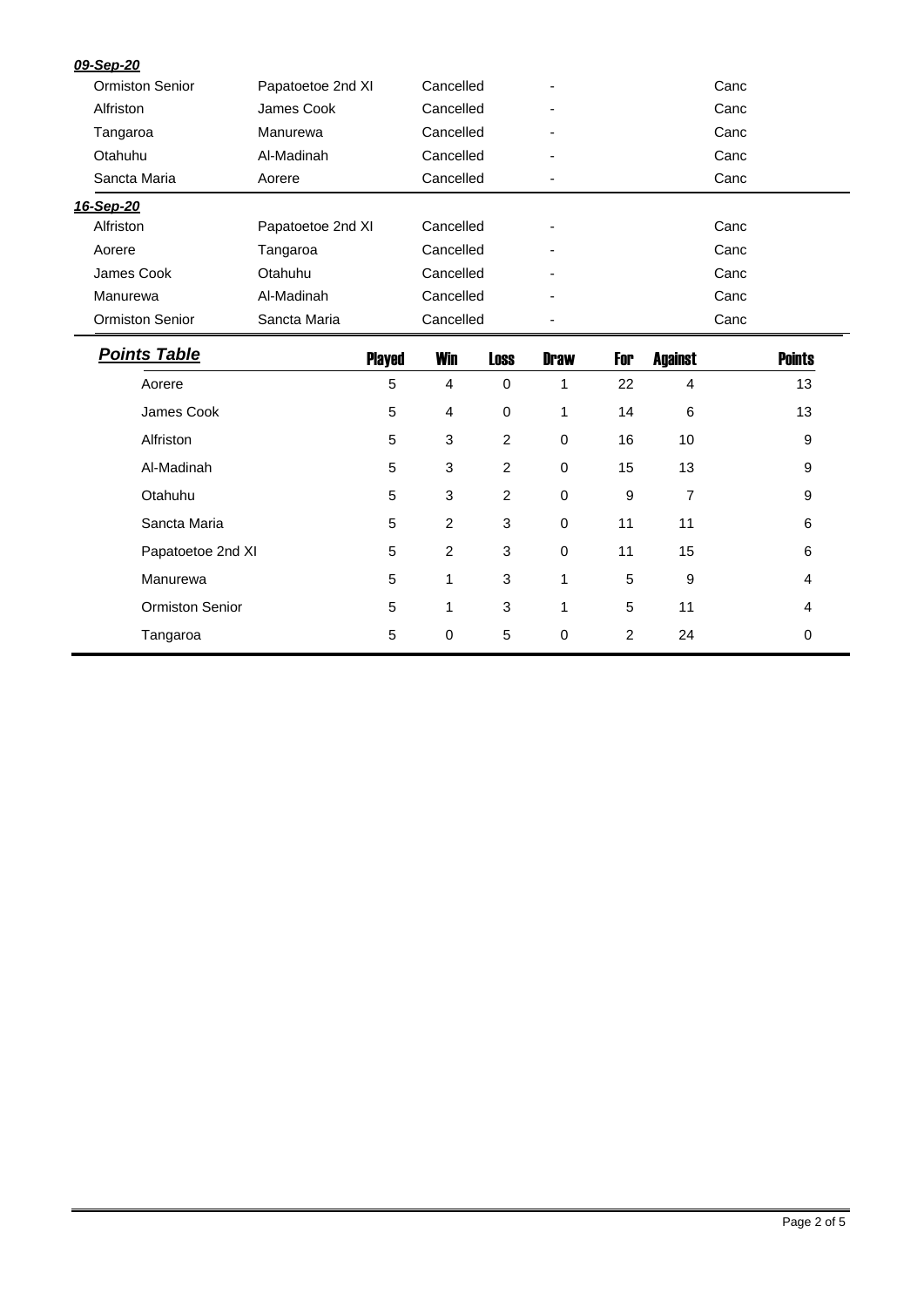| 09-Sep-20              |                   |              |                |             |                  |                |               |
|------------------------|-------------------|--------------|----------------|-------------|------------------|----------------|---------------|
| <b>Ormiston Senior</b> | Papatoetoe 2nd XI |              | Cancelled      |             | Canc             |                |               |
| Alfriston              | James Cook        |              | Cancelled      |             | Canc             |                |               |
| Tangaroa               | Manurewa          |              | Cancelled      |             | Canc             |                |               |
| Otahuhu                | Al-Madinah        |              | Cancelled      |             |                  |                | Canc          |
| Sancta Maria<br>Aorere |                   | Cancelled    |                | Canc        |                  |                |               |
| 16-Sep-20              |                   |              |                |             |                  |                |               |
| Alfriston              | Papatoetoe 2nd XI |              | Cancelled      |             | Canc             |                |               |
| Aorere                 | Tangaroa          |              | Cancelled      |             | Canc             |                |               |
| James Cook             | Otahuhu           | Cancelled    |                |             |                  |                | Canc          |
| Manurewa               | Al-Madinah        |              | Cancelled      |             |                  |                | Canc          |
| <b>Ormiston Senior</b> | Sancta Maria      | Cancelled    |                |             |                  | Canc           |               |
|                        |                   |              |                |             |                  |                |               |
| <b>Points Table</b>    | <b>Played</b>     | <b>Win</b>   | <b>Loss</b>    | <b>Draw</b> | For              | <b>Against</b> | <b>Points</b> |
| Aorere                 | 5                 | 4            | $\mathbf 0$    | 1           | 22               | 4              | 13            |
| James Cook             | 5                 | 4            | 0              | 1           | 14               | 6              | 13            |
| Alfriston              | 5                 | 3            | $\overline{c}$ | 0           | 16               | 10             | 9             |
| Al-Madinah             | 5                 | 3            | $\overline{2}$ | $\pmb{0}$   | 15               | 13             | 9             |
| Otahuhu                | 5                 | $\mathbf{3}$ | $\overline{2}$ | $\mathbf 0$ | $\boldsymbol{9}$ | $\overline{7}$ | 9             |
| Sancta Maria           | 5                 | 2            | 3              | 0           | 11               | 11             | 6             |
| Papatoetoe 2nd XI      | 5                 | 2            | 3              | $\mathbf 0$ | 11               | 15             | 6             |
| Manurewa               | 5                 | 1            | 3              | 1           | 5                | 9              | 4             |
| Ormiston Senior        | 5                 | 1            | 3              | 1           | 5                | 11             | 4             |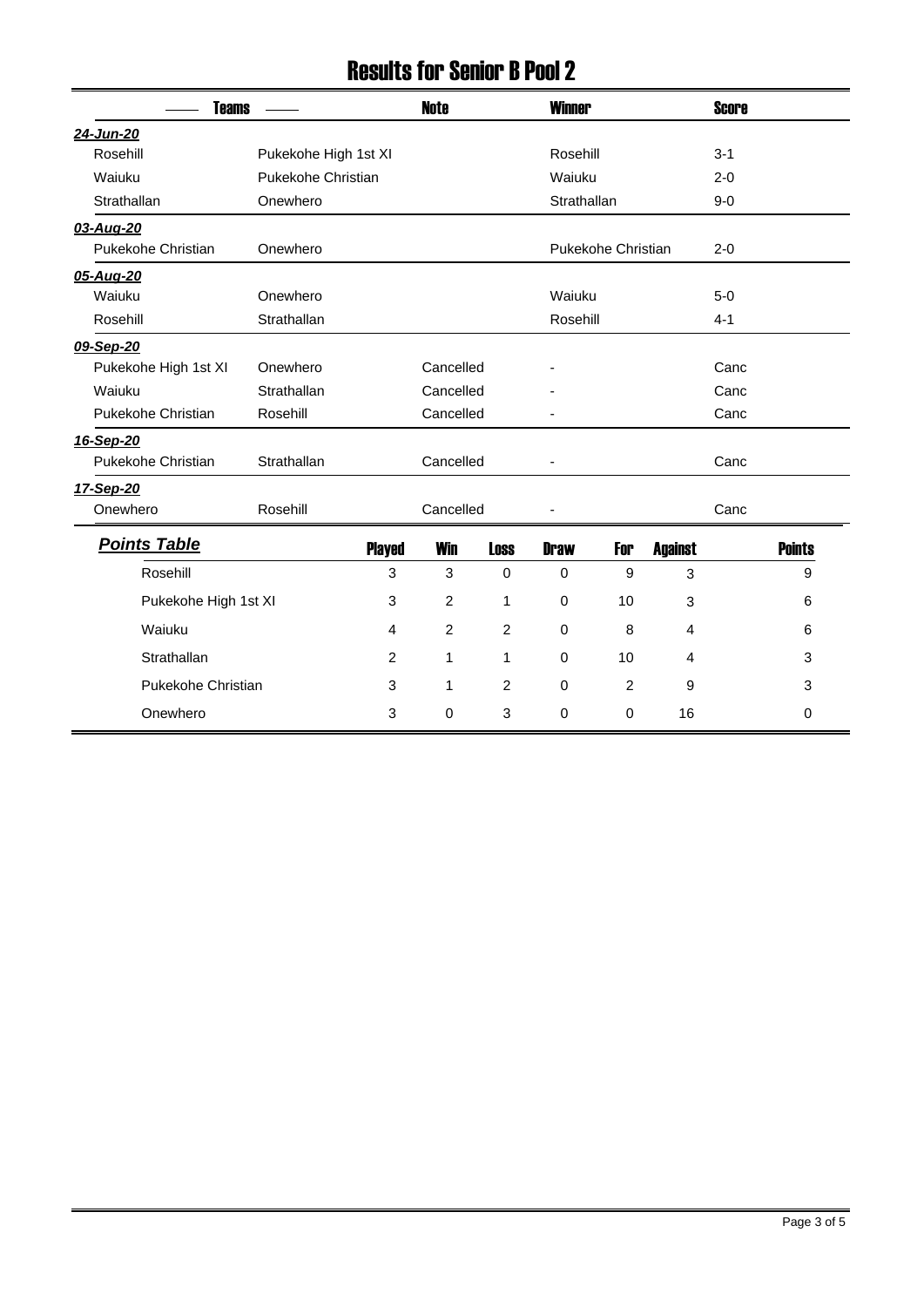## Results for Senior B Pool 2

| <b>Teams</b>         |                      |               | <b>Note</b><br><b>Winner</b> |             |                    |        |                | <b>Score</b> |               |
|----------------------|----------------------|---------------|------------------------------|-------------|--------------------|--------|----------------|--------------|---------------|
| 24-Jun-20            |                      |               |                              |             |                    |        |                |              |               |
| Rosehill             | Pukekohe High 1st XI |               |                              |             | Rosehill           |        |                |              |               |
| Waiuku               | Pukekohe Christian   |               |                              |             | Waiuku             |        |                |              |               |
| Strathallan          | Onewhero             |               |                              |             | Strathallan        |        |                |              |               |
| 03-Aug-20            |                      |               |                              |             |                    |        |                |              |               |
| Pukekohe Christian   | Onewhero             |               |                              |             | Pukekohe Christian |        |                |              |               |
| 05-Aug-20            |                      |               |                              |             |                    |        |                |              |               |
| Waiuku               | Onewhero             |               |                              |             |                    | Waiuku |                |              |               |
| Rosehill             | Strathallan          |               |                              |             | Rosehill           |        |                | $4 - 1$      |               |
| 09-Sep-20            |                      |               |                              |             |                    |        |                |              |               |
| Pukekohe High 1st XI | Onewhero             |               | Cancelled                    |             |                    |        |                | Canc         |               |
| Waiuku               | Strathallan          | Cancelled     |                              |             |                    |        |                | Canc         |               |
| Pukekohe Christian   | Rosehill             | Cancelled     |                              |             |                    |        |                | Canc         |               |
| 16-Sep-20            |                      |               |                              |             |                    |        |                |              |               |
| Pukekohe Christian   | Strathallan          |               | Cancelled                    |             |                    |        |                | Canc         |               |
| 17-Sep-20            |                      |               |                              |             |                    |        |                |              |               |
| Onewhero             | Rosehill             | Cancelled     |                              |             |                    |        |                | Canc         |               |
| <b>Points Table</b>  |                      | <b>Played</b> | <b>Win</b>                   | <b>Loss</b> | <b>Draw</b>        | For    | <b>Against</b> |              | <b>Points</b> |
| Rosehill             |                      | 3             | 3                            | $\mathbf 0$ | 0                  | 9      | 3              |              | 9             |
| Pukekohe High 1st XI |                      | 3             | 2                            | 1           | 0                  | 10     | 3              |              | 6             |
| Waiuku               |                      | 4             | $\overline{2}$               | 2           | $\mathbf 0$        | 8      | 4              |              | 6             |
| Strathallan          |                      | 2             | $\mathbf{1}$                 | 1           | $\mathbf 0$        | 10     | 4              |              | 3             |
| Pukekohe Christian   |                      | 3             | 1                            | 2           | $\mathbf 0$        | 2      | 9              |              | 3             |
| Onewhero             |                      | 3             | 0                            | 3           | $\Omega$           | 0      | 16             |              | 0             |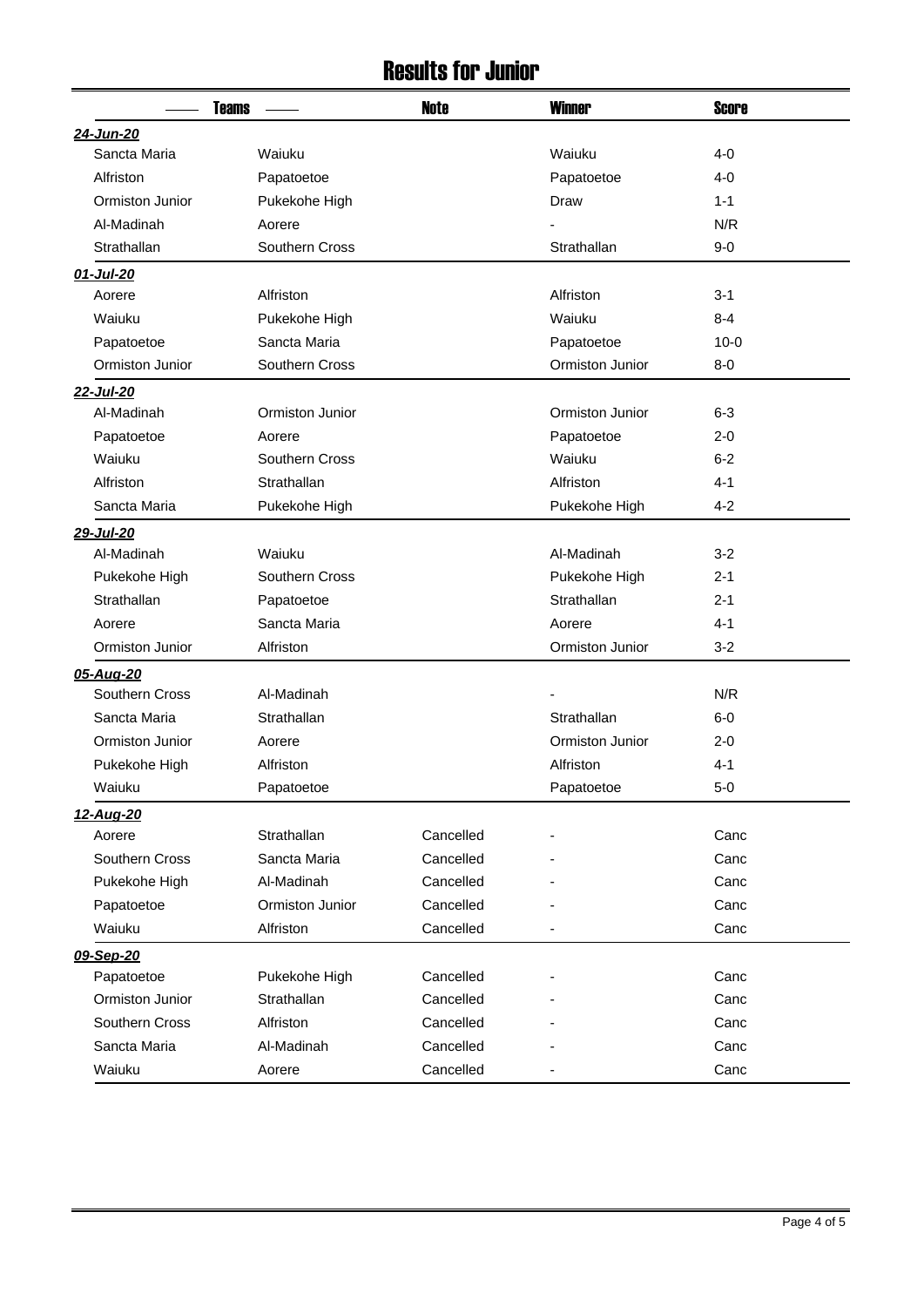## Results for Junior

|                 | <b>Teams</b>    | <b>Note</b> | <b>Winner</b>   | <b>Score</b> |
|-----------------|-----------------|-------------|-----------------|--------------|
| 24-Jun-20       |                 |             |                 |              |
| Sancta Maria    | Waiuku          |             | Waiuku          | $4 - 0$      |
| Alfriston       | Papatoetoe      |             | Papatoetoe      | 4-0          |
| Ormiston Junior | Pukekohe High   |             | Draw            | $1 - 1$      |
| Al-Madinah      | Aorere          |             |                 | N/R          |
| Strathallan     | Southern Cross  |             | Strathallan     | $9-0$        |
| 01-Jul-20       |                 |             |                 |              |
| Aorere          | Alfriston       |             | Alfriston       | $3 - 1$      |
| Waiuku          | Pukekohe High   |             | Waiuku          | $8 - 4$      |
| Papatoetoe      | Sancta Maria    |             | Papatoetoe      | $10 - 0$     |
| Ormiston Junior | Southern Cross  |             | Ormiston Junior | $8-0$        |
| 22-Jul-20       |                 |             |                 |              |
| Al-Madinah      | Ormiston Junior |             | Ormiston Junior | $6 - 3$      |
| Papatoetoe      | Aorere          |             | Papatoetoe      | $2 - 0$      |
| Waiuku          | Southern Cross  |             | Waiuku          | $6 - 2$      |
| Alfriston       | Strathallan     |             | Alfriston       | $4 - 1$      |
| Sancta Maria    | Pukekohe High   |             | Pukekohe High   | $4 - 2$      |
| 29-Jul-20       |                 |             |                 |              |
| Al-Madinah      | Waiuku          |             | Al-Madinah      | $3 - 2$      |
| Pukekohe High   | Southern Cross  |             | Pukekohe High   | $2 - 1$      |
| Strathallan     | Papatoetoe      |             | Strathallan     | $2 - 1$      |
| Aorere          | Sancta Maria    |             | Aorere          | $4 - 1$      |
| Ormiston Junior | Alfriston       |             | Ormiston Junior | $3 - 2$      |
| 05-Aug-20       |                 |             |                 |              |
| Southern Cross  | Al-Madinah      |             |                 | N/R          |
| Sancta Maria    | Strathallan     |             | Strathallan     | $6-0$        |
| Ormiston Junior | Aorere          |             | Ormiston Junior | $2 - 0$      |
| Pukekohe High   | Alfriston       |             | Alfriston       | 4-1          |
| Waiuku          | Papatoetoe      |             | Papatoetoe      | $5-0$        |
| 12-Aug-20       |                 |             |                 |              |
| Aorere          | Strathallan     | Cancelled   |                 | Canc         |
| Southern Cross  | Sancta Maria    | Cancelled   |                 | Canc         |
| Pukekohe High   | Al-Madinah      | Cancelled   |                 | Canc         |
| Papatoetoe      | Ormiston Junior | Cancelled   |                 | Canc         |
| Waiuku          | Alfriston       | Cancelled   |                 | Canc         |
| 09-Sep-20       |                 |             |                 |              |
| Papatoetoe      | Pukekohe High   | Cancelled   |                 | Canc         |
| Ormiston Junior | Strathallan     | Cancelled   |                 | Canc         |
| Southern Cross  | Alfriston       | Cancelled   |                 | Canc         |
| Sancta Maria    | Al-Madinah      | Cancelled   |                 | Canc         |
| Waiuku          | Aorere          | Cancelled   |                 | Canc         |